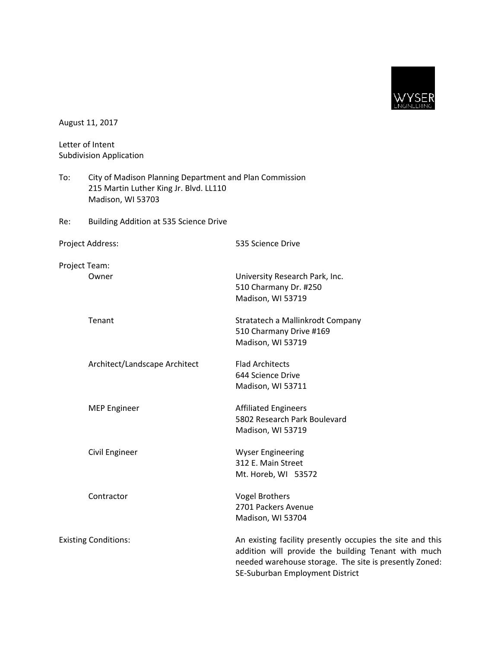

|                                                    | August 11, 2017                                                                                                        |                                                                                                                                                                                                               |  |
|----------------------------------------------------|------------------------------------------------------------------------------------------------------------------------|---------------------------------------------------------------------------------------------------------------------------------------------------------------------------------------------------------------|--|
| Letter of Intent<br><b>Subdivision Application</b> |                                                                                                                        |                                                                                                                                                                                                               |  |
| To:                                                | City of Madison Planning Department and Plan Commission<br>215 Martin Luther King Jr. Blvd. LL110<br>Madison, WI 53703 |                                                                                                                                                                                                               |  |
| Re:                                                | <b>Building Addition at 535 Science Drive</b>                                                                          |                                                                                                                                                                                                               |  |
|                                                    | Project Address:                                                                                                       | 535 Science Drive                                                                                                                                                                                             |  |
|                                                    | Project Team:<br>Owner                                                                                                 | University Research Park, Inc.<br>510 Charmany Dr. #250<br>Madison, WI 53719                                                                                                                                  |  |
|                                                    | Tenant                                                                                                                 | Stratatech a Mallinkrodt Company<br>510 Charmany Drive #169<br>Madison, WI 53719                                                                                                                              |  |
|                                                    | Architect/Landscape Architect                                                                                          | <b>Flad Architects</b><br>644 Science Drive<br>Madison, WI 53711                                                                                                                                              |  |
|                                                    | <b>MEP Engineer</b>                                                                                                    | <b>Affiliated Engineers</b><br>5802 Research Park Boulevard<br>Madison, WI 53719                                                                                                                              |  |
|                                                    | Civil Engineer                                                                                                         | <b>Wyser Engineering</b><br>312 E. Main Street<br>Mt. Horeb, WI 53572                                                                                                                                         |  |
|                                                    | Contractor                                                                                                             | <b>Vogel Brothers</b><br>2701 Packers Avenue<br>Madison, WI 53704                                                                                                                                             |  |
| <b>Existing Conditions:</b>                        |                                                                                                                        | An existing facility presently occupies the site and this<br>addition will provide the building Tenant with much<br>needed warehouse storage. The site is presently Zoned:<br>SE-Suburban Employment District |  |